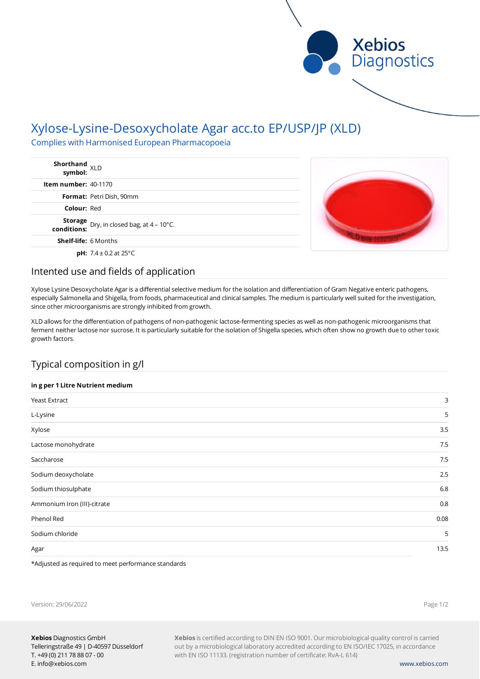

# Xylose-Lysine-Desoxycholate Agar acc.to EP/USP/JP (XLD)

Complies with Harmonised European Pharmacopoeia

| Shorthand<br>symbol: XLD                                       |  |
|----------------------------------------------------------------|--|
| <b>Item number: 40-1170</b>                                    |  |
| <b>Format: Petri Dish, 90mm</b>                                |  |
| <b>Colour: Red</b>                                             |  |
| <b>Storage</b> Dry, in closed bag, at 4 – 10°C.<br>conditions: |  |
| <b>Shelf-life: 6 Months</b>                                    |  |
| <b>pH:</b> $7.4 \pm 0.2$ at $25^{\circ}$ C                     |  |

### Intented use and fields of application

Xylose Lysine Desoxycholate Agar is a differential selective medium for the isolation and differentiation of Gram Negative enteric pathogens, especially Salmonella and Shigella, from foods, pharmaceutical and clinical samples. The medium is particularly well suited for the investigation, since other microorganisms are strongly inhibited from growth.

XLD allows for the differentiation of pathogens of non-pathogenic lactose-fermenting species as well as non-pathogenic microorganisms that ferment neither lactose nor sucrose. It is particularly suitable for the isolation of Shigella species, which often show no growth due to other toxic growth factors.

### Typical composition in g/l

### **in g per 1 Litre Nutrient medium**

| Yeast Extract               | 3    |
|-----------------------------|------|
| L-Lysine                    | 5    |
| Xylose                      | 3.5  |
| Lactose monohydrate         | 7.5  |
| Saccharose                  | 7.5  |
| Sodium deoxycholate         | 2.5  |
| Sodium thiosulphate         | 6.8  |
| Ammonium Iron (III)-citrate | 0.8  |
| Phenol Red                  | 0.08 |
| Sodium chloride             | 5    |
| Agar                        | 13.5 |

\*Adjusted as required to meet performance standards

Version: 29/06/2022

Page 1/2

**Xebios** is certified according to DIN EN ISO 9001. Our microbiological quality control is carried out by a microbiological laboratory accredited according to EN ISO/IEC 17025, in accordance with EN ISO 11133. (registration number of certificate: RvA-L 614)